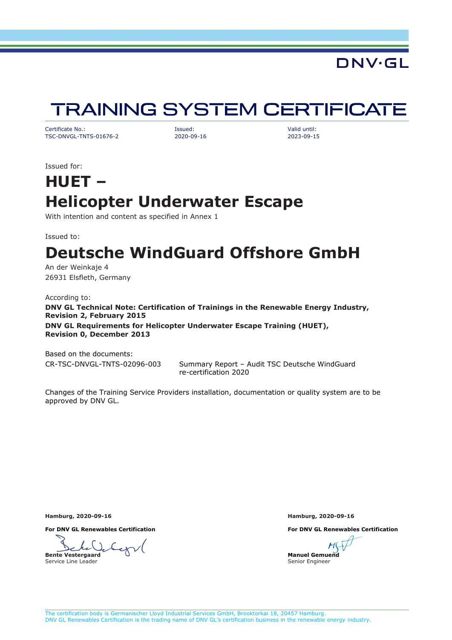### **DNV·GL**

# **TRAINING SYSTEM CERTIFICATE**

<span id="page-0-0"></span>Certificate No.: Issued: Valid until: TSC-DNVGL-TNTS-01676-2 2020-09-16 2023-09-15

Issued for:

# **HUET – Helicopter Underwater Escape**

With intention and content as specified in Annex 1

Issued to:

# **Deutsche WindGuard Offshore GmbH**

An der Weinkaje 4 26931 Elsfleth, Germany

According to: **DNV GL Technical Note: Certification of Trainings in the Renewable Energy Industry, Revision 2, February 2015 DNV GL Requirements for Helicopter Underwater Escape Training (HUET), Revision 0, December 2013**

Based on the documents:

CR-TSC-DNVGL-TNTS-02096-003 Summary Report – Audit TSC Deutsche WindGuard re-certification 2020

Changes of the Training Service Providers installation, documentation or quality system are to be approved by DNV GL.

**For DNV GL Renewables Certification For DNV GL Renewables Certification**

**Bente Vestergaard** Service Line Leader

**Hamburg, 2020-09-16 Hamburg, 2020-09-16**

**Manuel Gemuend** Senior Engineer